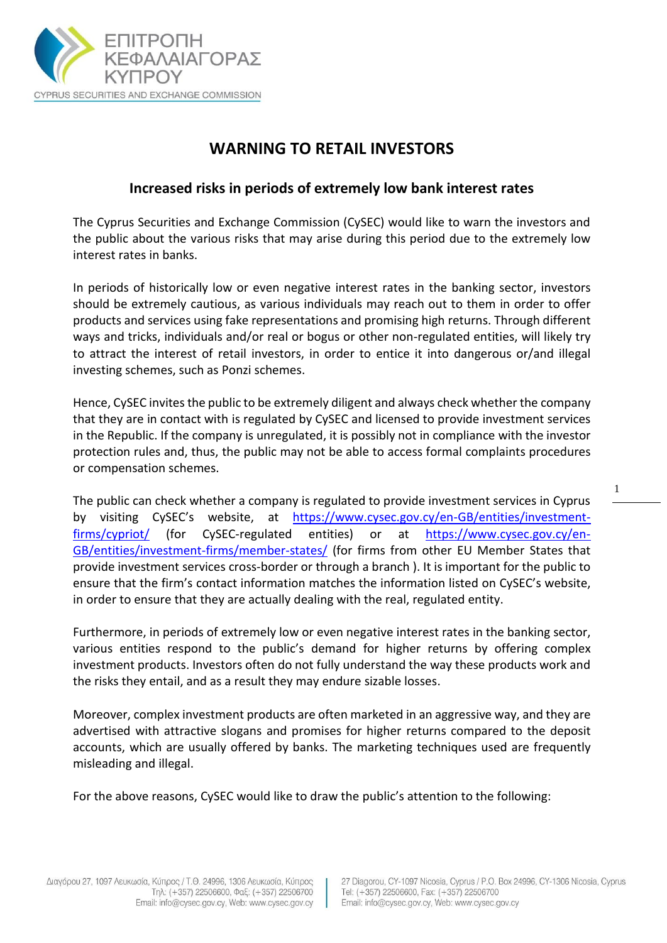

## **WARNING TO RETAIL INVESTORS**

## **Increased risks in periods of extremely low bank interest rates**

The Cyprus Securities and Exchange Commission (CySEC) would like to warn the investors and the public about the various risks that may arise during this period due to the extremely low interest rates in banks.

In periods of historically low or even negative interest rates in the banking sector, investors should be extremely cautious, as various individuals may reach out to them in order to offer products and services using fake representations and promising high returns. Through different ways and tricks, individuals and/or real or bogus or other non-regulated entities, will likely try to attract the interest of retail investors, in order to entice it into dangerous or/and illegal investing schemes, such as Ponzi schemes.

Hence, CySEC invites the public to be extremely diligent and always check whether the company that they are in contact with is regulated by CySEC and licensed to provide investment services in the Republic. If the company is unregulated, it is possibly not in compliance with the investor protection rules and, thus, the public may not be able to access formal complaints procedures or compensation schemes.

The public can check whether a company is regulated to provide investment services in Cyprus by visiting CySEC's website, at [https://www.cysec.gov.cy/en-GB/entities/investment](https://www.cysec.gov.cy/en-GB/entities/investment-firms/cypriot/)[firms/cypriot/](https://www.cysec.gov.cy/en-GB/entities/investment-firms/cypriot/) (for CySEC-regulated entities) or at [https://www.cysec.gov.cy/en-](https://www.cysec.gov.cy/en-GB/entities/investment-firms/member-states/)[GB/entities/investment-firms/member-states/](https://www.cysec.gov.cy/en-GB/entities/investment-firms/member-states/) (for firms from other EU Member States that provide investment services cross-border or through a branch ). It is important for the public to ensure that the firm's contact information matches the information listed on CySEC's website, in order to ensure that they are actually dealing with the real, regulated entity.

Furthermore, in periods of extremely low or even negative interest rates in the banking sector, various entities respond to the public's demand for higher returns by offering complex investment products. Investors often do not fully understand the way these products work and the risks they entail, and as a result they may endure sizable losses.

Moreover, complex investment products are often marketed in an aggressive way, and they are advertised with attractive slogans and promises for higher returns compared to the deposit accounts, which are usually offered by banks. The marketing techniques used are frequently misleading and illegal.

For the above reasons, CySEC would like to draw the public's attention to the following:

1